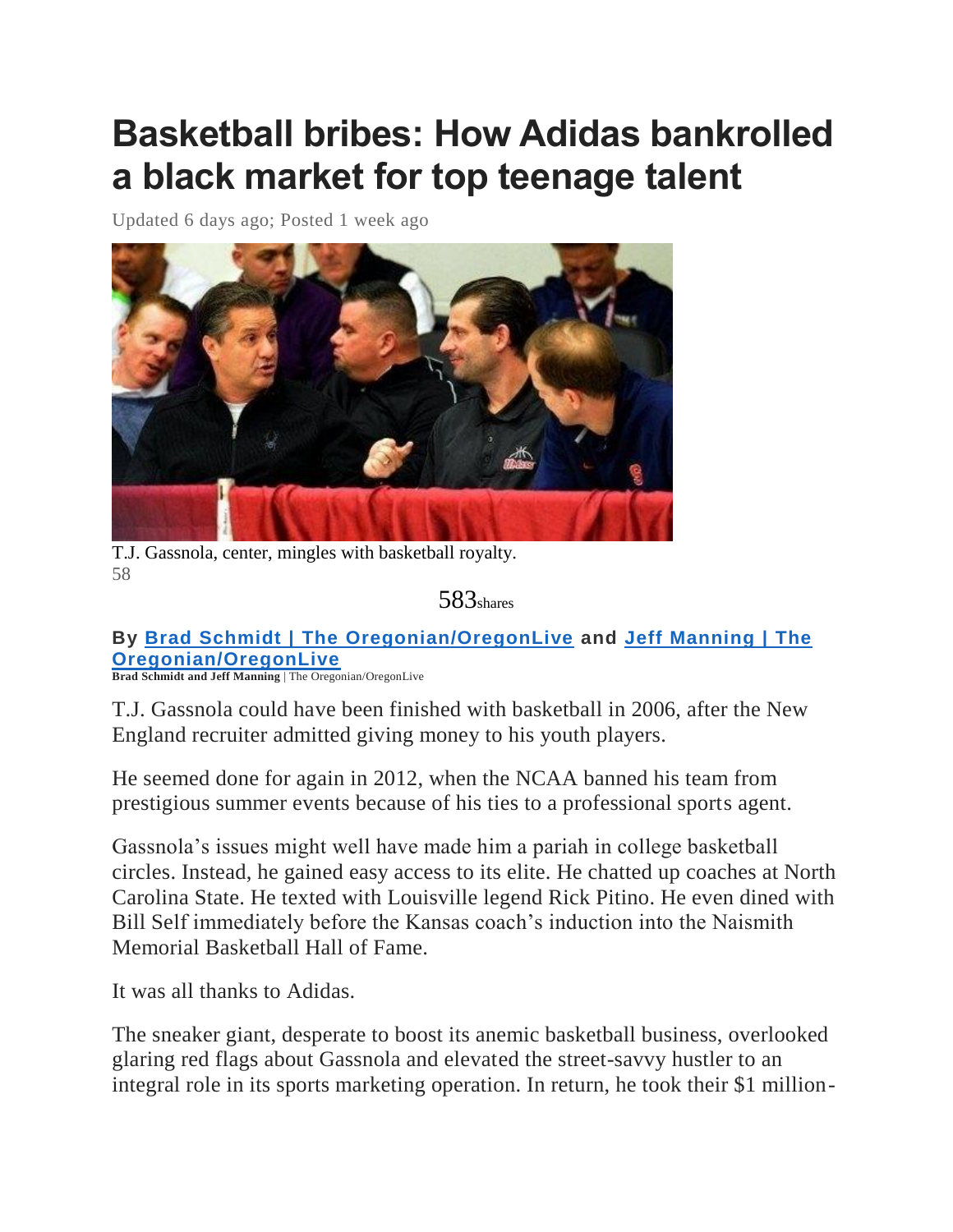# **Basketball bribes: How Adidas bankrolled a black market for top teenage talent**

Updated 6 days ago; Posted 1 week ago



T.J. Gassnola, center, mingles with basketball royalty. 58

583shares

**By Brad Schmidt | The [Oregonian/OregonLive](http://connect.oregonlive.com/staff/bschmidt/posts.html) and Jeff [Manning](http://connect.oregonlive.com/staff/jmanning/posts.html) | The [Oregonian/OregonLive](http://connect.oregonlive.com/staff/jmanning/posts.html)**

**Brad Schmidt and Jeff Manning** | The Oregonian/OregonLive

T.J. Gassnola could have been finished with basketball in 2006, after the New England recruiter admitted giving money to his youth players.

He seemed done for again in 2012, when the NCAA banned his team from prestigious summer events because of his ties to a professional sports agent.

Gassnola's issues might well have made him a pariah in college basketball circles. Instead, he gained easy access to its elite. He chatted up coaches at North Carolina State. He texted with Louisville legend Rick Pitino. He even dined with Bill Self immediately before the Kansas coach's induction into the Naismith Memorial Basketball Hall of Fame.

It was all thanks to Adidas.

The sneaker giant, desperate to boost its anemic basketball business, overlooked glaring red flags about Gassnola and elevated the street-savvy hustler to an integral role in its sports marketing operation. In return, he took their \$1 million-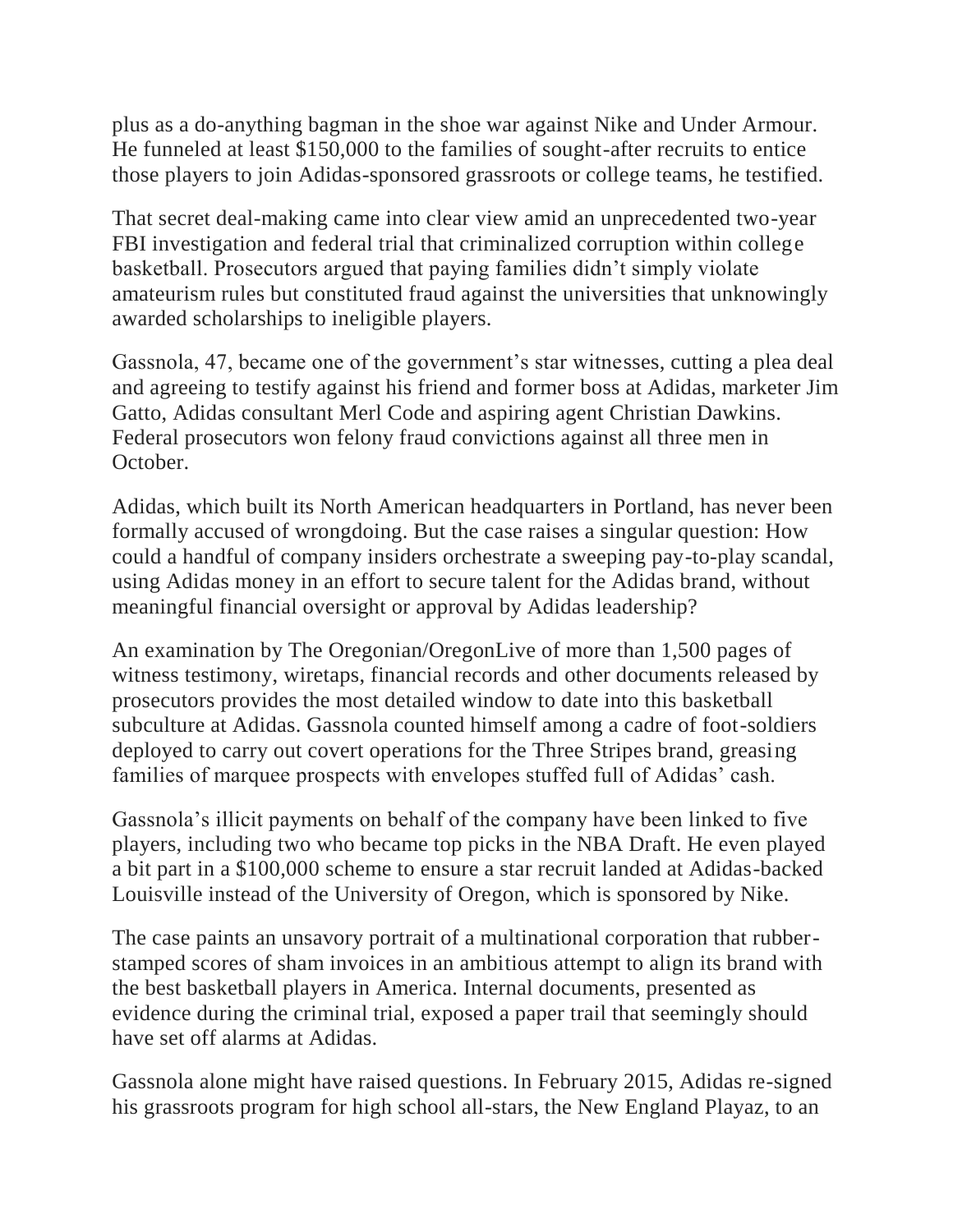plus as a do-anything bagman in the shoe war against Nike and Under Armour. He funneled at least \$150,000 to the families of sought-after recruits to entice those players to join Adidas-sponsored grassroots or college teams, he testified.

That secret deal-making came into clear view amid an unprecedented two-year FBI investigation and federal trial that criminalized corruption within college basketball. Prosecutors argued that paying families didn't simply violate amateurism rules but constituted fraud against the universities that unknowingly awarded scholarships to ineligible players.

Gassnola, 47, became one of the government's star witnesses, cutting a plea deal and agreeing to testify against his friend and former boss at Adidas, marketer Jim Gatto, Adidas consultant Merl Code and aspiring agent Christian Dawkins. Federal prosecutors won felony fraud convictions against all three men in October.

Adidas, which built its North American headquarters in Portland, has never been formally accused of wrongdoing. But the case raises a singular question: How could a handful of company insiders orchestrate a sweeping pay-to-play scandal, using Adidas money in an effort to secure talent for the Adidas brand, without meaningful financial oversight or approval by Adidas leadership?

An examination by The Oregonian/OregonLive of more than 1,500 pages of witness testimony, wiretaps, financial records and other documents released by prosecutors provides the most detailed window to date into this basketball subculture at Adidas. Gassnola counted himself among a cadre of foot-soldiers deployed to carry out covert operations for the Three Stripes brand, greasing families of marquee prospects with envelopes stuffed full of Adidas' cash.

Gassnola's illicit payments on behalf of the company have been linked to five players, including two who became top picks in the NBA Draft. He even played a bit part in a \$100,000 scheme to ensure a star recruit landed at Adidas-backed Louisville instead of the University of Oregon, which is sponsored by Nike.

The case paints an unsavory portrait of a multinational corporation that rubberstamped scores of sham invoices in an ambitious attempt to align its brand with the best basketball players in America. Internal documents, presented as evidence during the criminal trial, exposed a paper trail that seemingly should have set off alarms at Adidas.

Gassnola alone might have raised questions. In February 2015, Adidas re-signed his grassroots program for high school all-stars, the New England Playaz, to an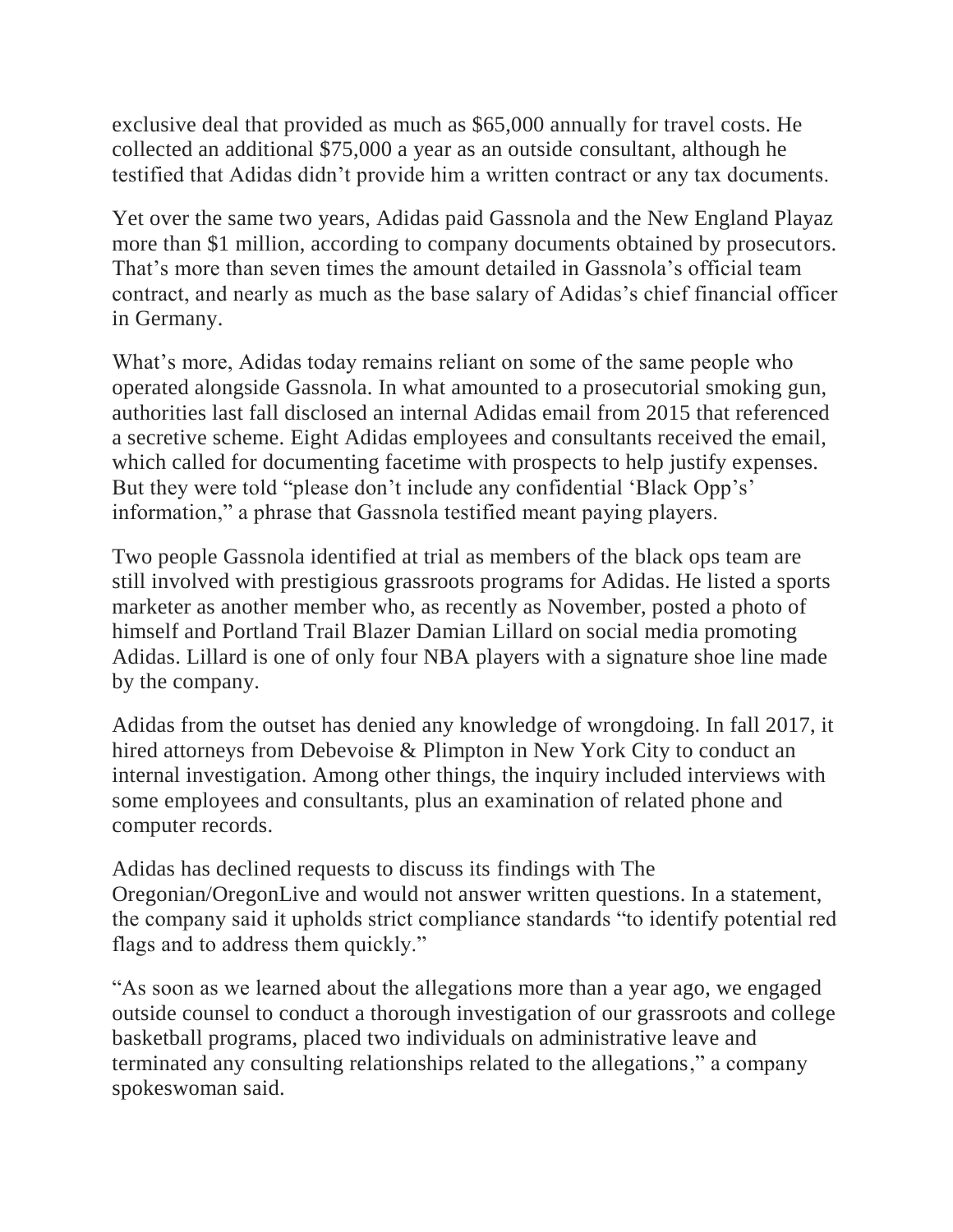exclusive deal that provided as much as \$65,000 annually for travel costs. He collected an additional \$75,000 a year as an outside consultant, although he testified that Adidas didn't provide him a written contract or any tax documents.

Yet over the same two years, Adidas paid Gassnola and the New England Playaz more than \$1 million, according to company documents obtained by prosecutors. That's more than seven times the amount detailed in Gassnola's official team contract, and nearly as much as the base salary of Adidas's chief financial officer in Germany.

What's more, Adidas today remains reliant on some of the same people who operated alongside Gassnola. In what amounted to a prosecutorial smoking gun, authorities last fall disclosed an internal Adidas email from 2015 that referenced a secretive scheme. Eight Adidas employees and consultants received the email, which called for documenting facetime with prospects to help justify expenses. But they were told "please don't include any confidential 'Black Opp's' information," a phrase that Gassnola testified meant paying players.

Two people Gassnola identified at trial as members of the black ops team are still involved with prestigious grassroots programs for Adidas. He listed a sports marketer as another member who, as recently as November, posted a photo of himself and Portland Trail Blazer Damian Lillard on social media promoting Adidas. Lillard is one of only four NBA players with a signature shoe line made by the company.

Adidas from the outset has denied any knowledge of wrongdoing. In fall 2017, it hired attorneys from Debevoise & Plimpton in New York City to conduct an internal investigation. Among other things, the inquiry included interviews with some employees and consultants, plus an examination of related phone and computer records.

Adidas has declined requests to discuss its findings with The Oregonian/OregonLive and would not answer written questions. In a statement, the company said it upholds strict compliance standards "to identify potential red flags and to address them quickly."

"As soon as we learned about the allegations more than a year ago, we engaged outside counsel to conduct a thorough investigation of our grassroots and college basketball programs, placed two individuals on administrative leave and terminated any consulting relationships related to the allegations," a company spokeswoman said.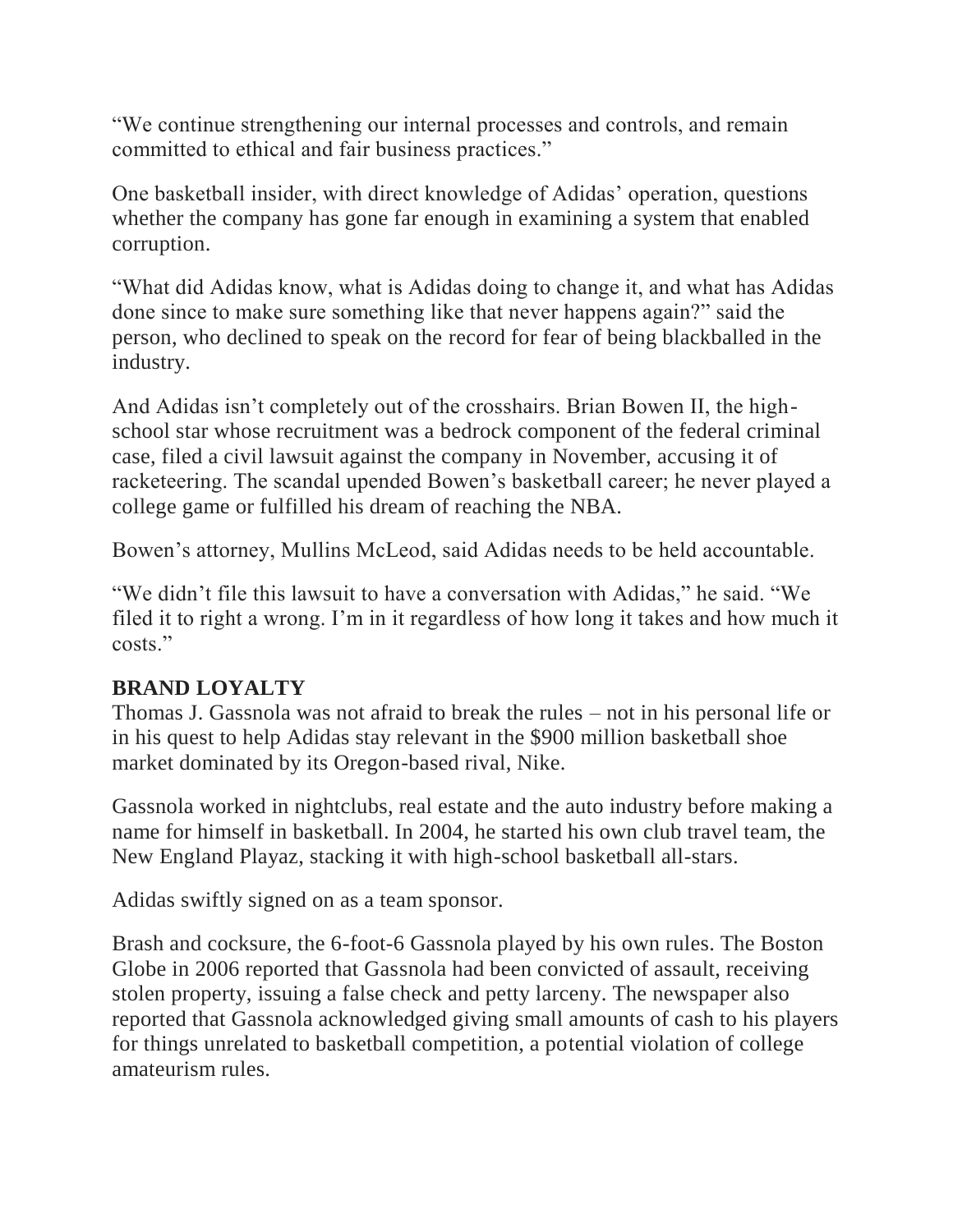"We continue strengthening our internal processes and controls, and remain committed to ethical and fair business practices."

One basketball insider, with direct knowledge of Adidas' operation, questions whether the company has gone far enough in examining a system that enabled corruption.

"What did Adidas know, what is Adidas doing to change it, and what has Adidas done since to make sure something like that never happens again?" said the person, who declined to speak on the record for fear of being blackballed in the industry.

And Adidas isn't completely out of the crosshairs. Brian Bowen II, the highschool star whose recruitment was a bedrock component of the federal criminal case, filed a civil lawsuit against the company in November, accusing it of racketeering. The scandal upended Bowen's basketball career; he never played a college game or fulfilled his dream of reaching the NBA.

Bowen's attorney, Mullins McLeod, said Adidas needs to be held accountable.

"We didn't file this lawsuit to have a conversation with Adidas," he said. "We filed it to right a wrong. I'm in it regardless of how long it takes and how much it costs."

## **BRAND LOYALTY**

Thomas J. Gassnola was not afraid to break the rules – not in his personal life or in his quest to help Adidas stay relevant in the \$900 million basketball shoe market dominated by its Oregon-based rival, Nike.

Gassnola worked in nightclubs, real estate and the auto industry before making a name for himself in basketball. In 2004, he started his own club travel team, the New England Playaz, stacking it with high-school basketball all-stars.

Adidas swiftly signed on as a team sponsor.

Brash and cocksure, the 6-foot-6 Gassnola played by his own rules. The Boston Globe in 2006 reported that Gassnola had been convicted of assault, receiving stolen property, issuing a false check and petty larceny. The newspaper also reported that Gassnola acknowledged giving small amounts of cash to his players for things unrelated to basketball competition, a potential violation of college amateurism rules.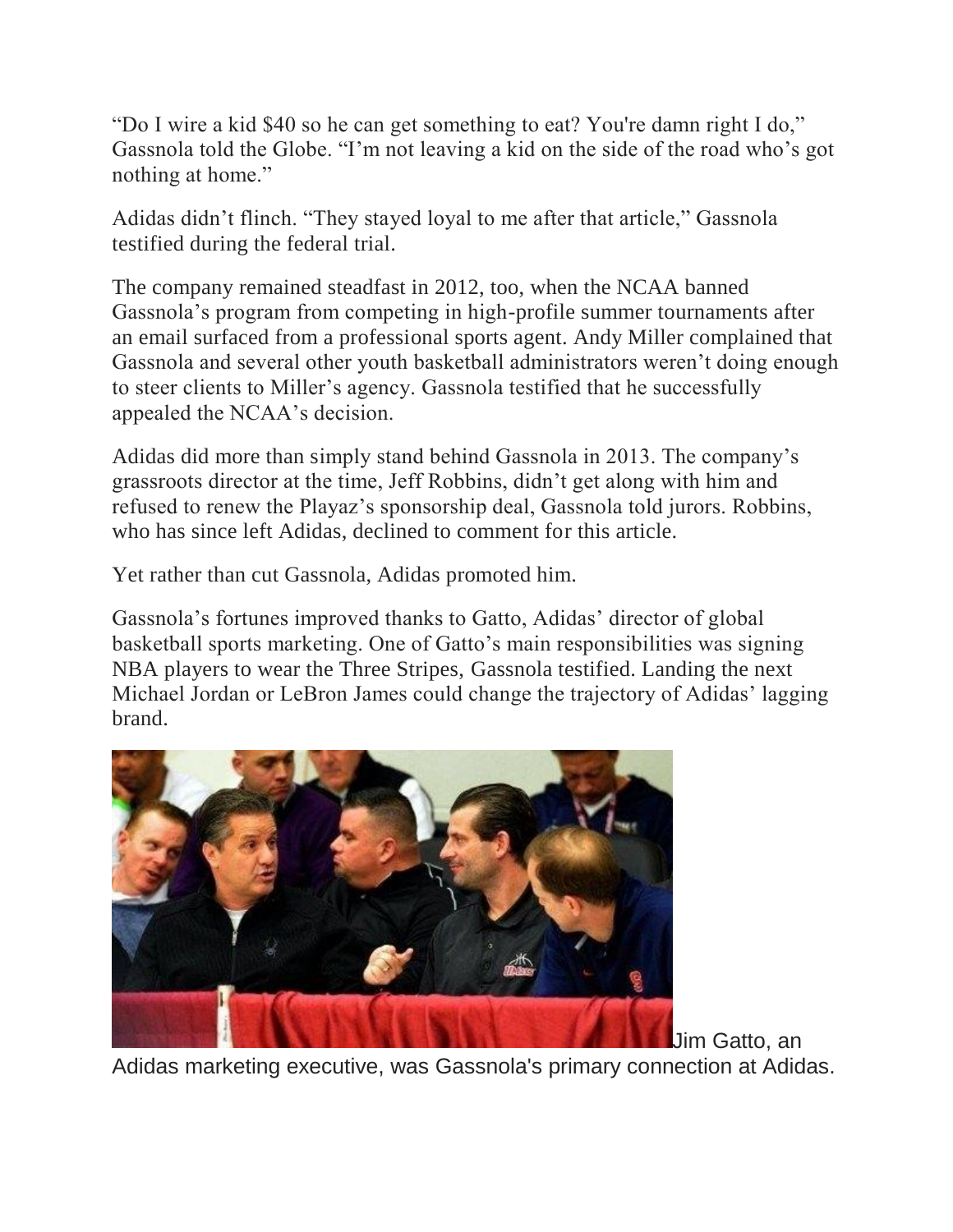"Do I wire a kid \$40 so he can get something to eat? You're damn right I do," Gassnola told the Globe. "I'm not leaving a kid on the side of the road who's got nothing at home."

Adidas didn't flinch. "They stayed loyal to me after that article," Gassnola testified during the federal trial.

The company remained steadfast in 2012, too, when the NCAA banned Gassnola's program from competing in high-profile summer tournaments after an email surfaced from a professional sports agent. Andy Miller complained that Gassnola and several other youth basketball administrators weren't doing enough to steer clients to Miller's agency. Gassnola testified that he successfully appealed the NCAA's decision.

Adidas did more than simply stand behind Gassnola in 2013. The company's grassroots director at the time, Jeff Robbins, didn't get along with him and refused to renew the Playaz's sponsorship deal, Gassnola told jurors. Robbins, who has since left Adidas, declined to comment for this article.

Yet rather than cut Gassnola, Adidas promoted him.

Gassnola's fortunes improved thanks to Gatto, Adidas' director of global basketball sports marketing. One of Gatto's main responsibilities was signing NBA players to wear the Three Stripes, Gassnola testified. Landing the next Michael Jordan or LeBron James could change the trajectory of Adidas' lagging brand.



Jim Gatto, an

Adidas marketing executive, was Gassnola's primary connection at Adidas.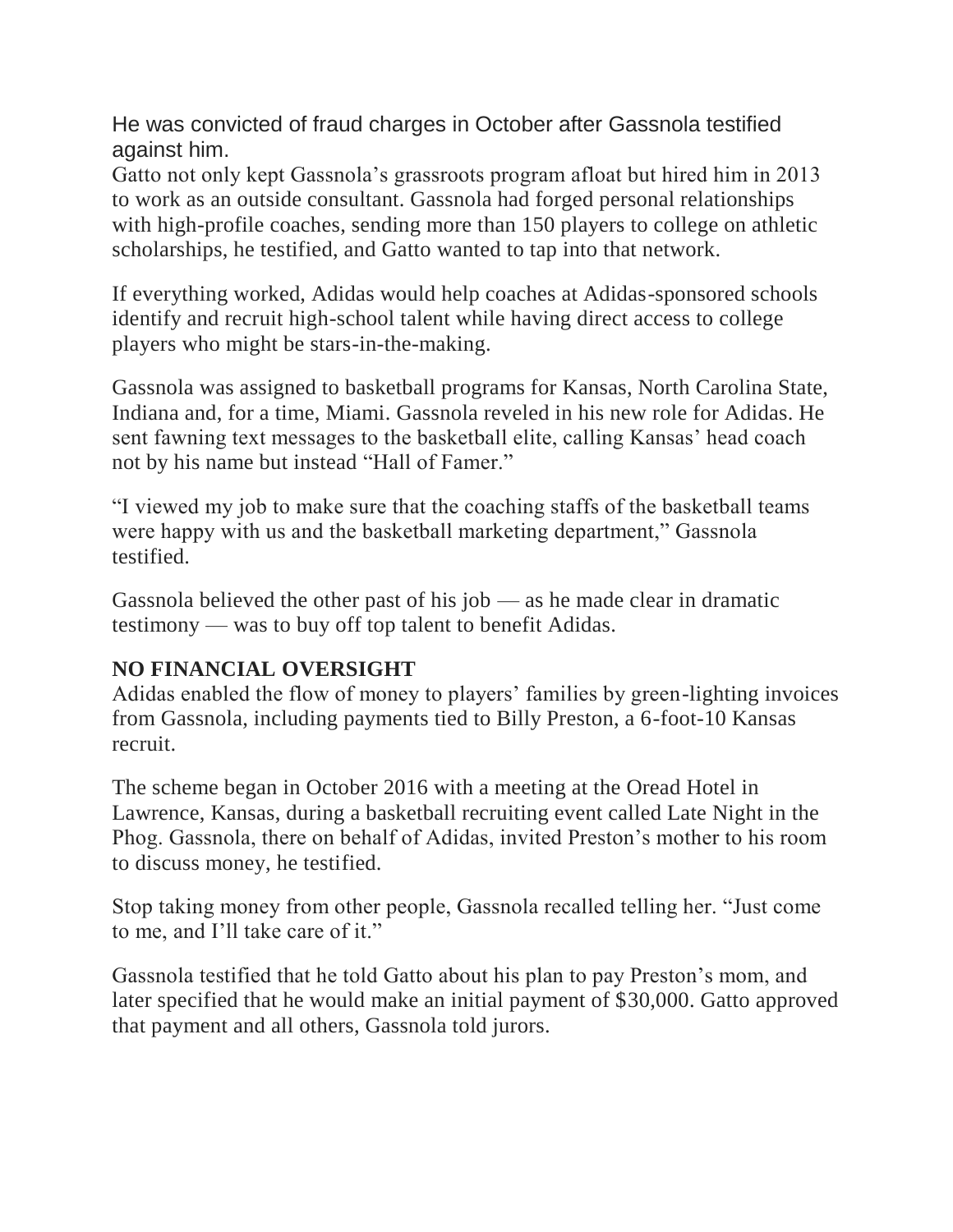He was convicted of fraud charges in October after Gassnola testified against him.

Gatto not only kept Gassnola's grassroots program afloat but hired him in 2013 to work as an outside consultant. Gassnola had forged personal relationships with high-profile coaches, sending more than 150 players to college on athletic scholarships, he testified, and Gatto wanted to tap into that network.

If everything worked, Adidas would help coaches at Adidas-sponsored schools identify and recruit high-school talent while having direct access to college players who might be stars-in-the-making.

Gassnola was assigned to basketball programs for Kansas, North Carolina State, Indiana and, for a time, Miami. Gassnola reveled in his new role for Adidas. He sent fawning text messages to the basketball elite, calling Kansas' head coach not by his name but instead "Hall of Famer."

"I viewed my job to make sure that the coaching staffs of the basketball teams were happy with us and the basketball marketing department," Gassnola testified.

Gassnola believed the other past of his job — as he made clear in dramatic testimony — was to buy off top talent to benefit Adidas.

## **NO FINANCIAL OVERSIGHT**

Adidas enabled the flow of money to players' families by green-lighting invoices from Gassnola, including payments tied to Billy Preston, a 6-foot-10 Kansas recruit.

The scheme began in October 2016 with a meeting at the Oread Hotel in Lawrence, Kansas, during a basketball recruiting event called Late Night in the Phog. Gassnola, there on behalf of Adidas, invited Preston's mother to his room to discuss money, he testified.

Stop taking money from other people, Gassnola recalled telling her. "Just come to me, and I'll take care of it."

Gassnola testified that he told Gatto about his plan to pay Preston's mom, and later specified that he would make an initial payment of \$30,000. Gatto approved that payment and all others, Gassnola told jurors.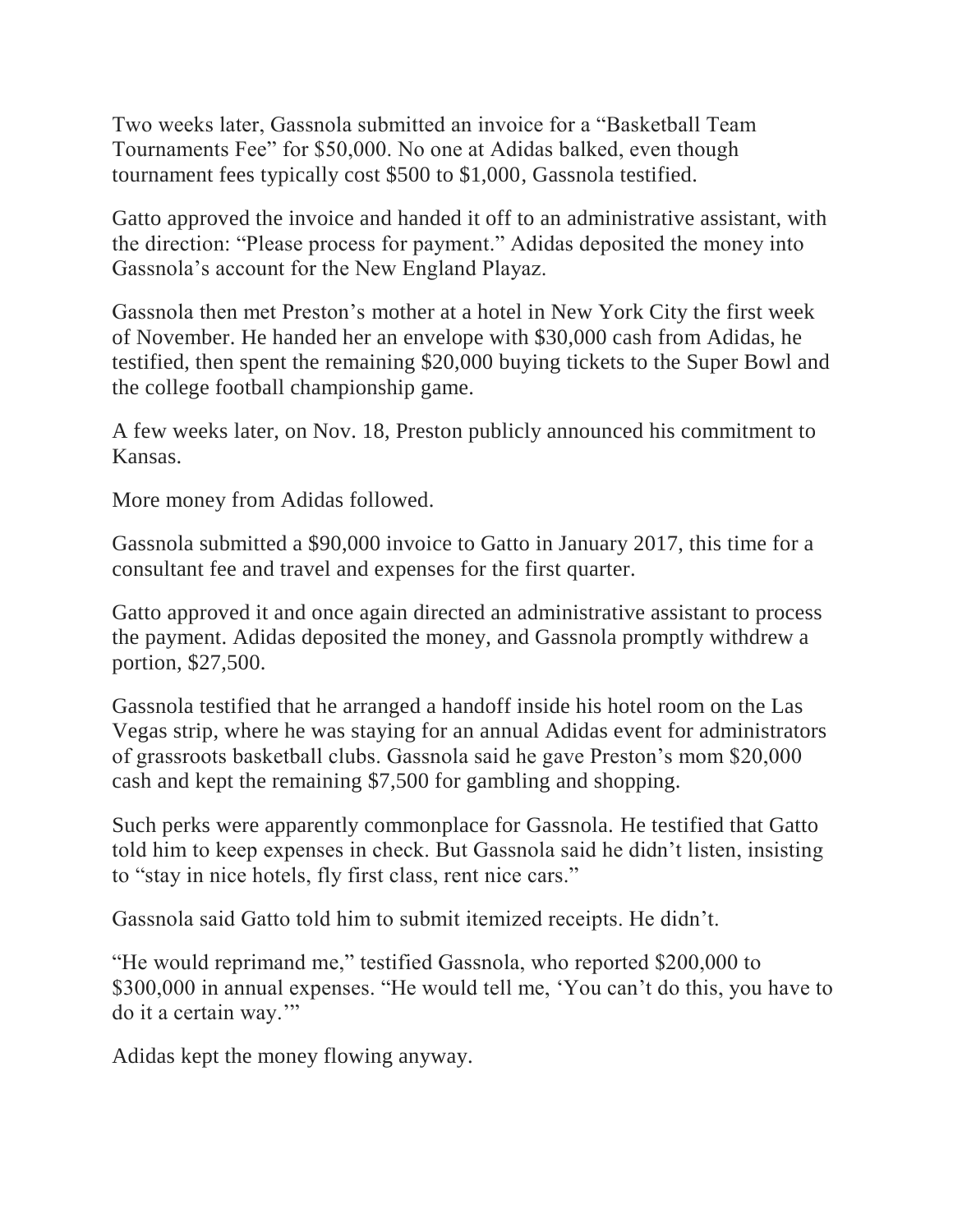Two weeks later, Gassnola submitted an invoice for a "Basketball Team Tournaments Fee" for \$50,000. No one at Adidas balked, even though tournament fees typically cost \$500 to \$1,000, Gassnola testified.

Gatto approved the invoice and handed it off to an administrative assistant, with the direction: "Please process for payment." Adidas deposited the money into Gassnola's account for the New England Playaz.

Gassnola then met Preston's mother at a hotel in New York City the first week of November. He handed her an envelope with \$30,000 cash from Adidas, he testified, then spent the remaining \$20,000 buying tickets to the Super Bowl and the college football championship game.

A few weeks later, on Nov. 18, Preston publicly announced his commitment to Kansas.

More money from Adidas followed.

Gassnola submitted a \$90,000 invoice to Gatto in January 2017, this time for a consultant fee and travel and expenses for the first quarter.

Gatto approved it and once again directed an administrative assistant to process the payment. Adidas deposited the money, and Gassnola promptly withdrew a portion, \$27,500.

Gassnola testified that he arranged a handoff inside his hotel room on the Las Vegas strip, where he was staying for an annual Adidas event for administrators of grassroots basketball clubs. Gassnola said he gave Preston's mom \$20,000 cash and kept the remaining \$7,500 for gambling and shopping.

Such perks were apparently commonplace for Gassnola. He testified that Gatto told him to keep expenses in check. But Gassnola said he didn't listen, insisting to "stay in nice hotels, fly first class, rent nice cars."

Gassnola said Gatto told him to submit itemized receipts. He didn't.

"He would reprimand me," testified Gassnola, who reported \$200,000 to \$300,000 in annual expenses. "He would tell me, 'You can't do this, you have to do it a certain way.'"

Adidas kept the money flowing anyway.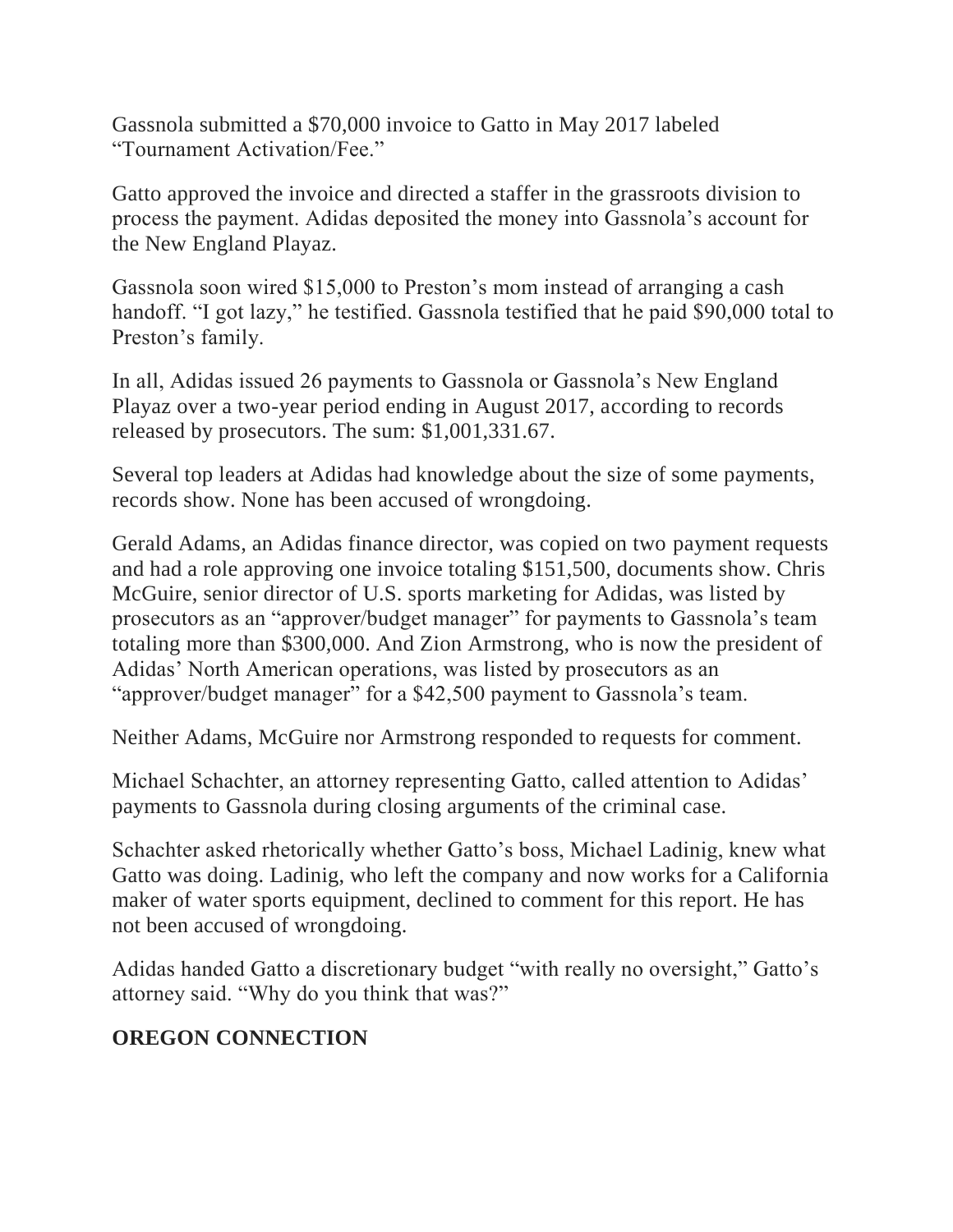Gassnola submitted a \$70,000 invoice to Gatto in May 2017 labeled "Tournament Activation/Fee."

Gatto approved the invoice and directed a staffer in the grassroots division to process the payment. Adidas deposited the money into Gassnola's account for the New England Playaz.

Gassnola soon wired \$15,000 to Preston's mom instead of arranging a cash handoff. "I got lazy," he testified. Gassnola testified that he paid \$90,000 total to Preston's family.

In all, Adidas issued 26 payments to Gassnola or Gassnola's New England Playaz over a two-year period ending in August 2017, according to records released by prosecutors. The sum: \$1,001,331.67.

Several top leaders at Adidas had knowledge about the size of some payments, records show. None has been accused of wrongdoing.

Gerald Adams, an Adidas finance director, was copied on two payment requests and had a role approving one invoice totaling \$151,500, documents show. Chris McGuire, senior director of U.S. sports marketing for Adidas, was listed by prosecutors as an "approver/budget manager" for payments to Gassnola's team totaling more than \$300,000. And Zion Armstrong, who is now the president of Adidas' North American operations, was listed by prosecutors as an "approver/budget manager" for a \$42,500 payment to Gassnola's team.

Neither Adams, McGuire nor Armstrong responded to requests for comment.

Michael Schachter, an attorney representing Gatto, called attention to Adidas' payments to Gassnola during closing arguments of the criminal case.

Schachter asked rhetorically whether Gatto's boss, Michael Ladinig, knew what Gatto was doing. Ladinig, who left the company and now works for a California maker of water sports equipment, declined to comment for this report. He has not been accused of wrongdoing.

Adidas handed Gatto a discretionary budget "with really no oversight," Gatto's attorney said. "Why do you think that was?"

## **OREGON CONNECTION**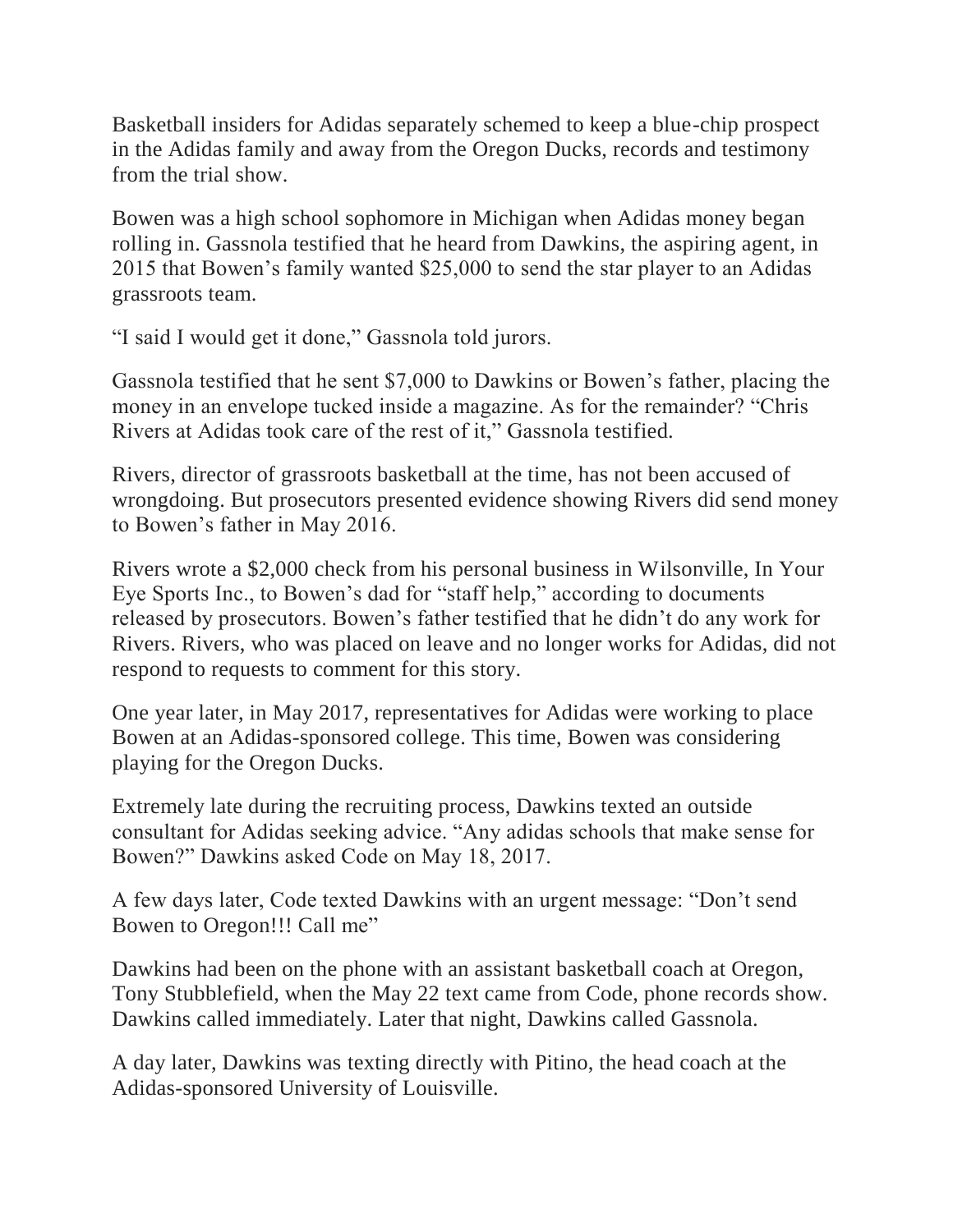Basketball insiders for Adidas separately schemed to keep a blue-chip prospect in the Adidas family and away from the Oregon Ducks, records and testimony from the trial show.

Bowen was a high school sophomore in Michigan when Adidas money began rolling in. Gassnola testified that he heard from Dawkins, the aspiring agent, in 2015 that Bowen's family wanted \$25,000 to send the star player to an Adidas grassroots team.

"I said I would get it done," Gassnola told jurors.

Gassnola testified that he sent \$7,000 to Dawkins or Bowen's father, placing the money in an envelope tucked inside a magazine. As for the remainder? "Chris Rivers at Adidas took care of the rest of it," Gassnola testified.

Rivers, director of grassroots basketball at the time, has not been accused of wrongdoing. But prosecutors presented evidence showing Rivers did send money to Bowen's father in May 2016.

Rivers wrote a \$2,000 check from his personal business in Wilsonville, In Your Eye Sports Inc., to Bowen's dad for "staff help," according to documents released by prosecutors. Bowen's father testified that he didn't do any work for Rivers. Rivers, who was placed on leave and no longer works for Adidas, did not respond to requests to comment for this story.

One year later, in May 2017, representatives for Adidas were working to place Bowen at an Adidas-sponsored college. This time, Bowen was considering playing for the Oregon Ducks.

Extremely late during the recruiting process, Dawkins texted an outside consultant for Adidas seeking advice. "Any adidas schools that make sense for Bowen?" Dawkins asked Code on May 18, 2017.

A few days later, Code texted Dawkins with an urgent message: "Don't send Bowen to Oregon!!! Call me"

Dawkins had been on the phone with an assistant basketball coach at Oregon, Tony Stubblefield, when the May 22 text came from Code, phone records show. Dawkins called immediately. Later that night, Dawkins called Gassnola.

A day later, Dawkins was texting directly with Pitino, the head coach at the Adidas-sponsored University of Louisville.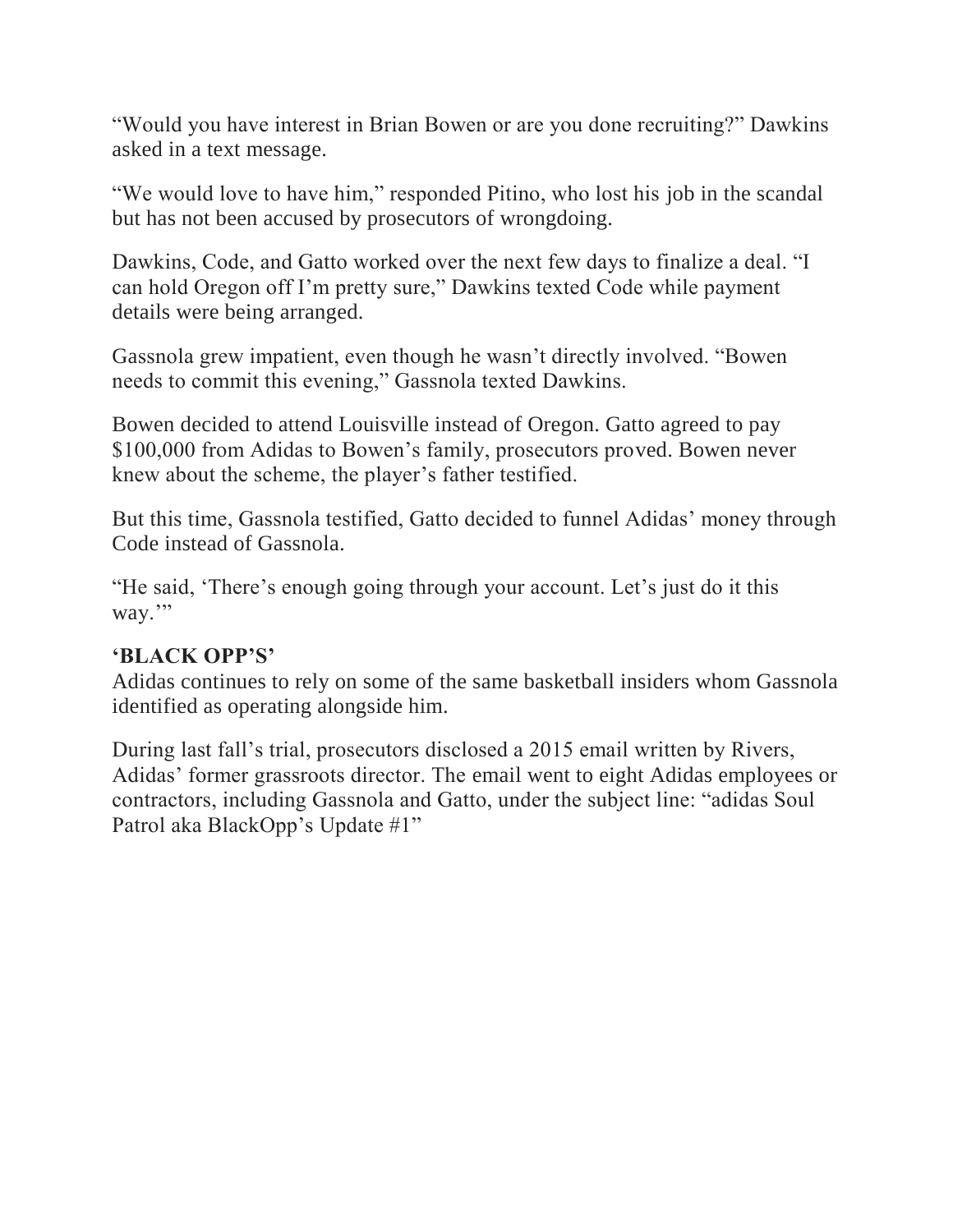"Would you have interest in Brian Bowen or are you done recruiting?" Dawkins asked in a text message.

"We would love to have him," responded Pitino, who lost his job in the scandal but has not been accused by prosecutors of wrongdoing.

Dawkins, Code, and Gatto worked over the next few days to finalize a deal. "I can hold Oregon off I'm pretty sure," Dawkins texted Code while payment details were being arranged.

Gassnola grew impatient, even though he wasn't directly involved. "Bowen needs to commit this evening," Gassnola texted Dawkins.

Bowen decided to attend Louisville instead of Oregon. Gatto agreed to pay \$100,000 from Adidas to Bowen's family, prosecutors proved. Bowen never knew about the scheme, the player's father testified.

But this time, Gassnola testified, Gatto decided to funnel Adidas' money through Code instead of Gassnola.

"He said, 'There's enough going through your account. Let's just do it this way."

#### **'BLACK OPP'S'**

Adidas continues to rely on some of the same basketball insiders whom Gassnola identified as operating alongside him.

During last fall's trial, prosecutors disclosed a 2015 email written by Rivers, Adidas' former grassroots director. The email went to eight Adidas employees or contractors, including Gassnola and Gatto, under the subject line: "adidas Soul Patrol aka BlackOpp's Update #1"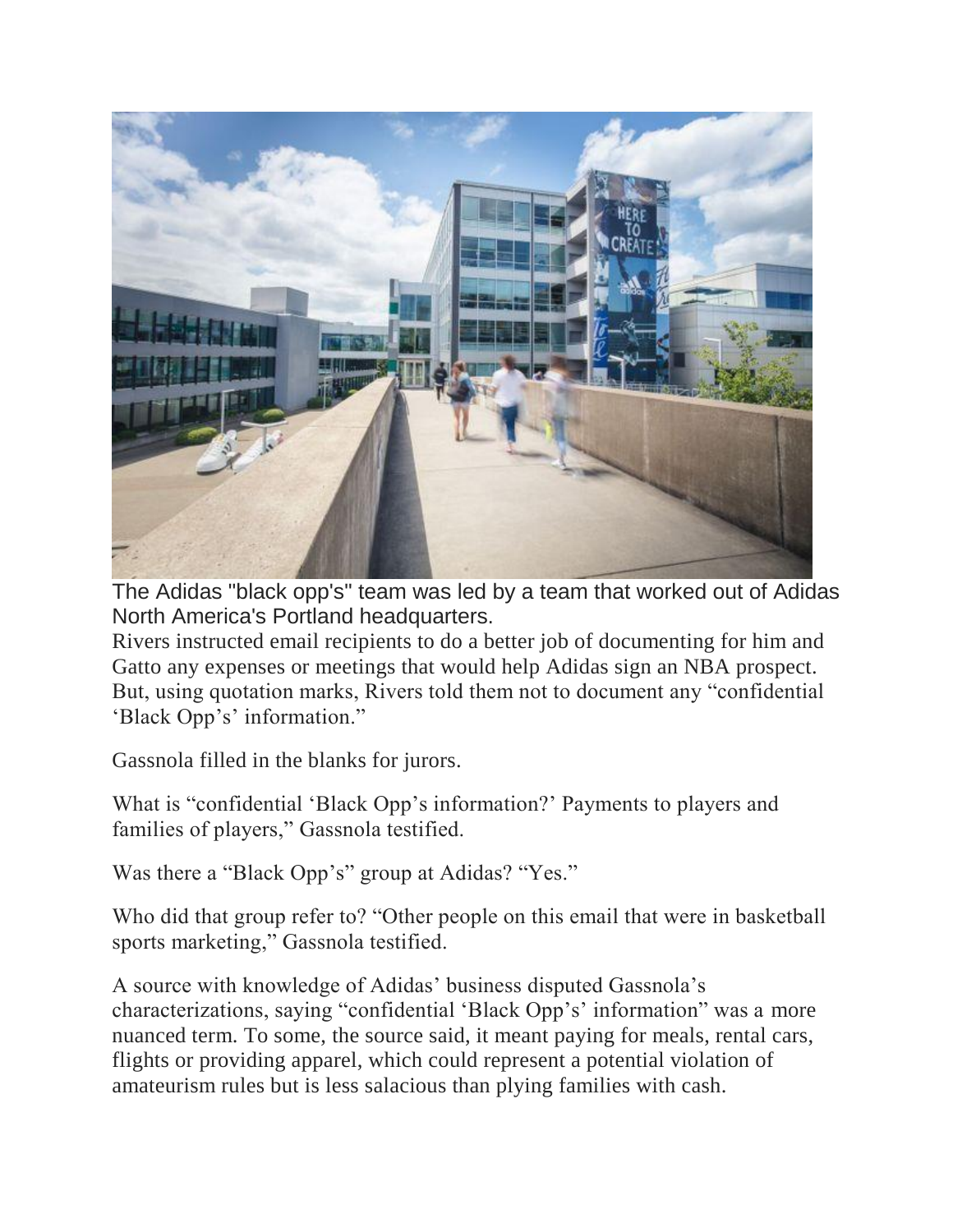

The Adidas "black opp's" team was led by a team that worked out of Adidas North America's Portland headquarters.

Rivers instructed email recipients to do a better job of documenting for him and Gatto any expenses or meetings that would help Adidas sign an NBA prospect. But, using quotation marks, Rivers told them not to document any "confidential 'Black Opp's' information."

Gassnola filled in the blanks for jurors.

What is "confidential 'Black Opp's information?' Payments to players and families of players," Gassnola testified.

Was there a "Black Opp's" group at Adidas? "Yes."

Who did that group refer to? "Other people on this email that were in basketball sports marketing," Gassnola testified.

A source with knowledge of Adidas' business disputed Gassnola's characterizations, saying "confidential 'Black Opp's' information" was a more nuanced term. To some, the source said, it meant paying for meals, rental cars, flights or providing apparel, which could represent a potential violation of amateurism rules but is less salacious than plying families with cash.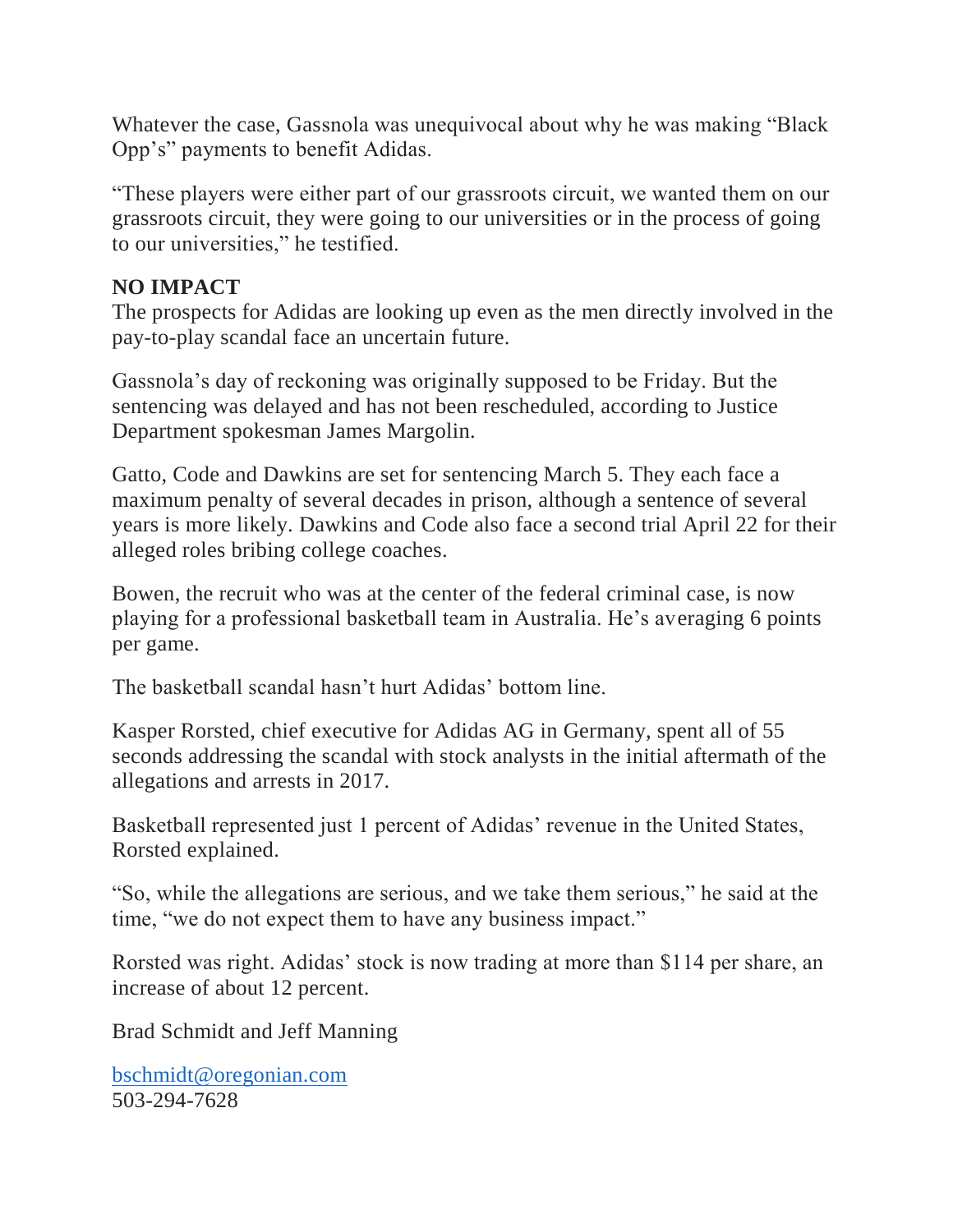Whatever the case, Gassnola was unequivocal about why he was making "Black Opp's" payments to benefit Adidas.

"These players were either part of our grassroots circuit, we wanted them on our grassroots circuit, they were going to our universities or in the process of going to our universities," he testified.

#### **NO IMPACT**

The prospects for Adidas are looking up even as the men directly involved in the pay-to-play scandal face an uncertain future.

Gassnola's day of reckoning was originally supposed to be Friday. But the sentencing was delayed and has not been rescheduled, according to Justice Department spokesman James Margolin.

Gatto, Code and Dawkins are set for sentencing March 5. They each face a maximum penalty of several decades in prison, although a sentence of several years is more likely. Dawkins and Code also face a second trial April 22 for their alleged roles bribing college coaches.

Bowen, the recruit who was at the center of the federal criminal case, is now playing for a professional basketball team in Australia. He's averaging 6 points per game.

The basketball scandal hasn't hurt Adidas' bottom line.

Kasper Rorsted, chief executive for Adidas AG in Germany, spent all of 55 seconds addressing the scandal with stock analysts in the initial aftermath of the allegations and arrests in 2017.

Basketball represented just 1 percent of Adidas' revenue in the United States, Rorsted explained.

"So, while the allegations are serious, and we take them serious," he said at the time, "we do not expect them to have any business impact."

Rorsted was right. Adidas' stock is now trading at more than \$114 per share, an increase of about 12 percent.

Brad Schmidt and Jeff Manning

[bschmidt@oregonian.com](mailto:bschmidt@oregonian.com) 503-294-7628